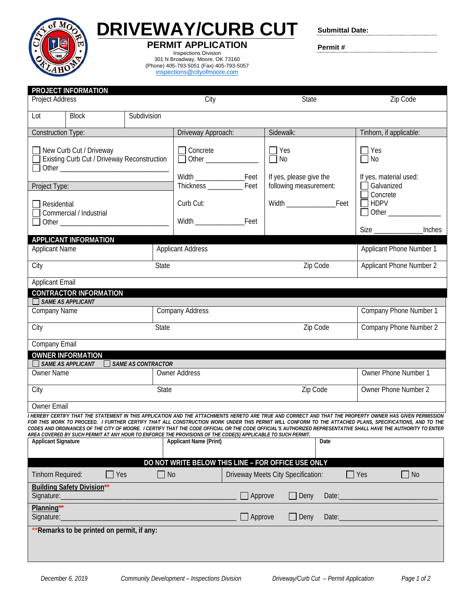

**DRIVEWAY/CURB CUT PERMIT APPLICATION**

Inspections Division 301 N Broadway, Moore, OK 73160 (Phone) 405-793-5051 (Fax) 405-793-5057 [inspections@cityofmoore.com](mailto:inspections@cityofmoore.com)

**Submittal Date:**

**Permit #**

| <b>Project Address</b>                   | PROJECT INFORMATION                                                    |                           | City                                                                                                                                  |         | <b>State</b>                                      |                                 | Zip Code                                                                                                                                                                                                                                                                                                                                                                                                                                                                              |  |  |  |  |  |  |
|------------------------------------------|------------------------------------------------------------------------|---------------------------|---------------------------------------------------------------------------------------------------------------------------------------|---------|---------------------------------------------------|---------------------------------|---------------------------------------------------------------------------------------------------------------------------------------------------------------------------------------------------------------------------------------------------------------------------------------------------------------------------------------------------------------------------------------------------------------------------------------------------------------------------------------|--|--|--|--|--|--|
| Lot                                      | <b>Block</b>                                                           | Subdivision               |                                                                                                                                       |         |                                                   |                                 |                                                                                                                                                                                                                                                                                                                                                                                                                                                                                       |  |  |  |  |  |  |
| <b>Construction Type:</b>                |                                                                        |                           | Driveway Approach:                                                                                                                    |         | Sidewalk:                                         |                                 | Tinhorn, if applicable:                                                                                                                                                                                                                                                                                                                                                                                                                                                               |  |  |  |  |  |  |
|                                          | New Curb Cut / Driveway<br>Existing Curb Cut / Driveway Reconstruction |                           | Concrete<br>Other ______________                                                                                                      |         | $\Box$ Yes<br>$\overline{\Box}$ No                |                                 | $\Box$ Yes<br>$\Box$ No                                                                                                                                                                                                                                                                                                                                                                                                                                                               |  |  |  |  |  |  |
| Project Type:                            |                                                                        |                           |                                                                                                                                       |         | If yes, please give the<br>following measurement: |                                 | If yes, material used:<br>$\Box$ Galvanized                                                                                                                                                                                                                                                                                                                                                                                                                                           |  |  |  |  |  |  |
| 7 Residential                            | Commercial / Industrial<br>Other _______________                       |                           | Curb Cut:                                                                                                                             |         |                                                   |                                 | Concrete<br>$\Box$ HDPV<br>$\Box$ Other $\_\_\_\_\_\_\_\_\_\_\_\_\_$<br><b>Inches</b>                                                                                                                                                                                                                                                                                                                                                                                                 |  |  |  |  |  |  |
|                                          | <b>APPLICANT INFORMATION</b>                                           |                           |                                                                                                                                       |         |                                                   |                                 |                                                                                                                                                                                                                                                                                                                                                                                                                                                                                       |  |  |  |  |  |  |
| <b>Applicant Name</b>                    |                                                                        |                           | <b>Applicant Address</b>                                                                                                              |         |                                                   | Applicant Phone Number 1        |                                                                                                                                                                                                                                                                                                                                                                                                                                                                                       |  |  |  |  |  |  |
| City                                     |                                                                        |                           | State                                                                                                                                 |         | Zip Code                                          | <b>Applicant Phone Number 2</b> |                                                                                                                                                                                                                                                                                                                                                                                                                                                                                       |  |  |  |  |  |  |
| <b>Applicant Email</b>                   |                                                                        |                           |                                                                                                                                       |         |                                                   |                                 |                                                                                                                                                                                                                                                                                                                                                                                                                                                                                       |  |  |  |  |  |  |
|                                          | <b>CONTRACTOR INFORMATION</b>                                          |                           |                                                                                                                                       |         |                                                   |                                 |                                                                                                                                                                                                                                                                                                                                                                                                                                                                                       |  |  |  |  |  |  |
| $\Box$ SAME AS APPLICANT<br>Company Name |                                                                        |                           | <b>Company Address</b>                                                                                                                |         |                                                   | Company Phone Number 1          |                                                                                                                                                                                                                                                                                                                                                                                                                                                                                       |  |  |  |  |  |  |
| City                                     |                                                                        |                           | State                                                                                                                                 |         |                                                   | Zip Code                        | Company Phone Number 2                                                                                                                                                                                                                                                                                                                                                                                                                                                                |  |  |  |  |  |  |
| Company Email                            |                                                                        |                           |                                                                                                                                       |         |                                                   |                                 |                                                                                                                                                                                                                                                                                                                                                                                                                                                                                       |  |  |  |  |  |  |
|                                          | <b>OWNER INFORMATION</b>                                               |                           |                                                                                                                                       |         |                                                   |                                 |                                                                                                                                                                                                                                                                                                                                                                                                                                                                                       |  |  |  |  |  |  |
| <b>Owner Name</b>                        | $\Box$ SAME AS APPLICANT                                               | <b>SAME AS CONTRACTOR</b> | <b>Owner Address</b>                                                                                                                  |         |                                                   |                                 | Owner Phone Number 1                                                                                                                                                                                                                                                                                                                                                                                                                                                                  |  |  |  |  |  |  |
|                                          |                                                                        |                           |                                                                                                                                       |         |                                                   |                                 |                                                                                                                                                                                                                                                                                                                                                                                                                                                                                       |  |  |  |  |  |  |
| City                                     |                                                                        |                           | State                                                                                                                                 |         | Zip Code                                          |                                 | Owner Phone Number 2                                                                                                                                                                                                                                                                                                                                                                                                                                                                  |  |  |  |  |  |  |
| Owner Email                              |                                                                        |                           |                                                                                                                                       |         |                                                   |                                 |                                                                                                                                                                                                                                                                                                                                                                                                                                                                                       |  |  |  |  |  |  |
| <b>Applicant Signature</b>               |                                                                        |                           | AREA COVERED BY SUCH PERMIT AT ANY HOUR TO ENFORCE THE PROVISIONS OF THE CODE(S) APPLICABLE TO SUCH PERMIT.<br>Applicant Name (Print) |         |                                                   | Date                            | I HEREBY CERTIFY THAT THE STATEMENT IN THIS APPLICATION AND THE ATTACHMENTS HERETO ARE TRUE AND CORRECT AND THAT THE PROPERTY OWNER HAS GIVEN PERMISSION<br>FOR THIS WORK TO PROCEED. I FURTHER CERTIFY THAT ALL CONSTRUCTION WORK UNDER THIS PERMIT WILL CONFORM TO THE ATTACHED PLANS, SPECIFICATIONS, AND TO THE<br>CODES AND ORDINANCES OF THE CITY OF MOORE. I CERTIFY THAT THE CODE OFFICIAL OR THE CODE OFFICIAL'S AUTHORIZED REPRESENTATIVE SHALL HAVE THE AUTHORITY TO ENTER |  |  |  |  |  |  |
|                                          |                                                                        |                           |                                                                                                                                       |         |                                                   |                                 |                                                                                                                                                                                                                                                                                                                                                                                                                                                                                       |  |  |  |  |  |  |
|                                          |                                                                        |                           | DO NOT WRITE BELOW THIS LINE - FOR OFFICE USE ONLY                                                                                    |         |                                                   |                                 |                                                                                                                                                                                                                                                                                                                                                                                                                                                                                       |  |  |  |  |  |  |
| Tinhorn Required:                        | Yes                                                                    |                           | $\Box$ No                                                                                                                             |         | Driveway Meets City Specification:                |                                 | $\Box$ Yes<br>$\Box$ No                                                                                                                                                                                                                                                                                                                                                                                                                                                               |  |  |  |  |  |  |
| Signature:                               | <b>Building Safety Division**</b>                                      |                           |                                                                                                                                       | Approve | Deny<br>$\blacksquare$                            | Date:                           |                                                                                                                                                                                                                                                                                                                                                                                                                                                                                       |  |  |  |  |  |  |
| Planning**<br>Signature:                 |                                                                        |                           |                                                                                                                                       | Approve | $\Box$ Deny                                       | Date:                           |                                                                                                                                                                                                                                                                                                                                                                                                                                                                                       |  |  |  |  |  |  |
|                                          | **Remarks to be printed on permit, if any:                             |                           |                                                                                                                                       |         |                                                   |                                 |                                                                                                                                                                                                                                                                                                                                                                                                                                                                                       |  |  |  |  |  |  |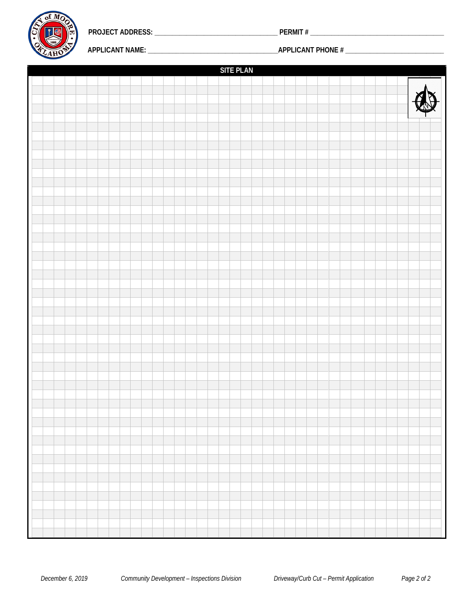

**PROJECT ADDRESS: \_\_\_\_\_\_\_\_\_\_\_\_\_\_\_\_\_\_\_\_\_\_\_\_\_\_\_\_\_\_\_\_\_\_\_ PERMIT # \_\_\_\_\_\_\_\_\_\_\_\_\_\_\_\_\_\_\_\_\_\_\_\_\_\_\_\_\_\_\_\_\_\_\_\_\_\_**

**APPLICANT NAME: \_\_\_\_\_\_\_\_\_\_\_\_\_\_\_\_\_\_\_\_\_\_\_\_\_\_\_\_\_\_\_\_\_\_\_\_\_APPLICANT PHONE # \_\_\_\_\_\_\_\_\_\_\_\_\_\_\_\_\_\_\_\_\_\_\_\_\_\_\_\_**

| <b>SITE PLAN</b> |  |  |  |  |  |  |  |  |  |  |  |  |  |  |  |  |  |  |  |  |  |  |  |   |
|------------------|--|--|--|--|--|--|--|--|--|--|--|--|--|--|--|--|--|--|--|--|--|--|--|---|
|                  |  |  |  |  |  |  |  |  |  |  |  |  |  |  |  |  |  |  |  |  |  |  |  |   |
|                  |  |  |  |  |  |  |  |  |  |  |  |  |  |  |  |  |  |  |  |  |  |  |  | ♦ |
|                  |  |  |  |  |  |  |  |  |  |  |  |  |  |  |  |  |  |  |  |  |  |  |  |   |
|                  |  |  |  |  |  |  |  |  |  |  |  |  |  |  |  |  |  |  |  |  |  |  |  |   |
|                  |  |  |  |  |  |  |  |  |  |  |  |  |  |  |  |  |  |  |  |  |  |  |  |   |
|                  |  |  |  |  |  |  |  |  |  |  |  |  |  |  |  |  |  |  |  |  |  |  |  |   |
|                  |  |  |  |  |  |  |  |  |  |  |  |  |  |  |  |  |  |  |  |  |  |  |  |   |
|                  |  |  |  |  |  |  |  |  |  |  |  |  |  |  |  |  |  |  |  |  |  |  |  |   |
|                  |  |  |  |  |  |  |  |  |  |  |  |  |  |  |  |  |  |  |  |  |  |  |  |   |
|                  |  |  |  |  |  |  |  |  |  |  |  |  |  |  |  |  |  |  |  |  |  |  |  |   |
|                  |  |  |  |  |  |  |  |  |  |  |  |  |  |  |  |  |  |  |  |  |  |  |  |   |
|                  |  |  |  |  |  |  |  |  |  |  |  |  |  |  |  |  |  |  |  |  |  |  |  |   |
|                  |  |  |  |  |  |  |  |  |  |  |  |  |  |  |  |  |  |  |  |  |  |  |  |   |
|                  |  |  |  |  |  |  |  |  |  |  |  |  |  |  |  |  |  |  |  |  |  |  |  |   |
|                  |  |  |  |  |  |  |  |  |  |  |  |  |  |  |  |  |  |  |  |  |  |  |  |   |
|                  |  |  |  |  |  |  |  |  |  |  |  |  |  |  |  |  |  |  |  |  |  |  |  |   |
|                  |  |  |  |  |  |  |  |  |  |  |  |  |  |  |  |  |  |  |  |  |  |  |  |   |
|                  |  |  |  |  |  |  |  |  |  |  |  |  |  |  |  |  |  |  |  |  |  |  |  |   |
|                  |  |  |  |  |  |  |  |  |  |  |  |  |  |  |  |  |  |  |  |  |  |  |  |   |
|                  |  |  |  |  |  |  |  |  |  |  |  |  |  |  |  |  |  |  |  |  |  |  |  |   |
|                  |  |  |  |  |  |  |  |  |  |  |  |  |  |  |  |  |  |  |  |  |  |  |  |   |
|                  |  |  |  |  |  |  |  |  |  |  |  |  |  |  |  |  |  |  |  |  |  |  |  |   |
|                  |  |  |  |  |  |  |  |  |  |  |  |  |  |  |  |  |  |  |  |  |  |  |  |   |
|                  |  |  |  |  |  |  |  |  |  |  |  |  |  |  |  |  |  |  |  |  |  |  |  |   |
|                  |  |  |  |  |  |  |  |  |  |  |  |  |  |  |  |  |  |  |  |  |  |  |  |   |
|                  |  |  |  |  |  |  |  |  |  |  |  |  |  |  |  |  |  |  |  |  |  |  |  |   |
|                  |  |  |  |  |  |  |  |  |  |  |  |  |  |  |  |  |  |  |  |  |  |  |  |   |
|                  |  |  |  |  |  |  |  |  |  |  |  |  |  |  |  |  |  |  |  |  |  |  |  |   |
|                  |  |  |  |  |  |  |  |  |  |  |  |  |  |  |  |  |  |  |  |  |  |  |  |   |
|                  |  |  |  |  |  |  |  |  |  |  |  |  |  |  |  |  |  |  |  |  |  |  |  |   |
|                  |  |  |  |  |  |  |  |  |  |  |  |  |  |  |  |  |  |  |  |  |  |  |  |   |
|                  |  |  |  |  |  |  |  |  |  |  |  |  |  |  |  |  |  |  |  |  |  |  |  |   |
|                  |  |  |  |  |  |  |  |  |  |  |  |  |  |  |  |  |  |  |  |  |  |  |  |   |
|                  |  |  |  |  |  |  |  |  |  |  |  |  |  |  |  |  |  |  |  |  |  |  |  |   |
|                  |  |  |  |  |  |  |  |  |  |  |  |  |  |  |  |  |  |  |  |  |  |  |  |   |
|                  |  |  |  |  |  |  |  |  |  |  |  |  |  |  |  |  |  |  |  |  |  |  |  |   |
|                  |  |  |  |  |  |  |  |  |  |  |  |  |  |  |  |  |  |  |  |  |  |  |  |   |
|                  |  |  |  |  |  |  |  |  |  |  |  |  |  |  |  |  |  |  |  |  |  |  |  |   |
|                  |  |  |  |  |  |  |  |  |  |  |  |  |  |  |  |  |  |  |  |  |  |  |  |   |
|                  |  |  |  |  |  |  |  |  |  |  |  |  |  |  |  |  |  |  |  |  |  |  |  |   |
|                  |  |  |  |  |  |  |  |  |  |  |  |  |  |  |  |  |  |  |  |  |  |  |  |   |
|                  |  |  |  |  |  |  |  |  |  |  |  |  |  |  |  |  |  |  |  |  |  |  |  |   |
|                  |  |  |  |  |  |  |  |  |  |  |  |  |  |  |  |  |  |  |  |  |  |  |  |   |
|                  |  |  |  |  |  |  |  |  |  |  |  |  |  |  |  |  |  |  |  |  |  |  |  |   |
|                  |  |  |  |  |  |  |  |  |  |  |  |  |  |  |  |  |  |  |  |  |  |  |  |   |
|                  |  |  |  |  |  |  |  |  |  |  |  |  |  |  |  |  |  |  |  |  |  |  |  |   |
|                  |  |  |  |  |  |  |  |  |  |  |  |  |  |  |  |  |  |  |  |  |  |  |  |   |
|                  |  |  |  |  |  |  |  |  |  |  |  |  |  |  |  |  |  |  |  |  |  |  |  |   |
|                  |  |  |  |  |  |  |  |  |  |  |  |  |  |  |  |  |  |  |  |  |  |  |  |   |
|                  |  |  |  |  |  |  |  |  |  |  |  |  |  |  |  |  |  |  |  |  |  |  |  |   |
|                  |  |  |  |  |  |  |  |  |  |  |  |  |  |  |  |  |  |  |  |  |  |  |  |   |